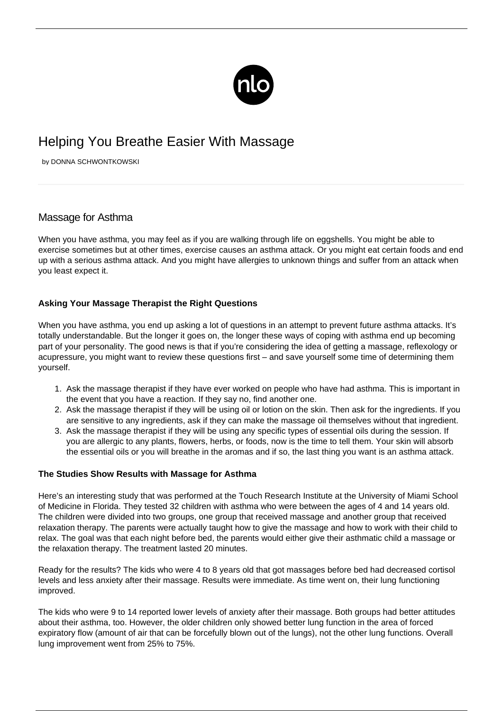

## Helping You Breathe Easier With Massage

by DONNA SCHWONTKOWSKI

## Massage for Asthma

When you have asthma, you may feel as if you are walking through life on eggshells. You might be able to exercise sometimes but at other times, exercise causes an asthma attack. Or you might eat certain foods and end up with a serious asthma attack. And you might have allergies to unknown things and suffer from an attack when you least expect it.

## **Asking Your Massage Therapist the Right Questions**

When you have asthma, you end up asking a lot of questions in an attempt to prevent future asthma attacks. It's totally understandable. But the longer it goes on, the longer these ways of coping with asthma end up becoming part of your personality. The good news is that if you're considering the idea of getting a massage, [reflexology or](/reflexology-asthma/) [acupressure](/reflexology-asthma/), you might want to review these questions first – and save yourself some time of determining them yourself.

- 1. Ask the massage therapist if they have ever worked on people who have had asthma. This is important in the event that you have a reaction. If they say no, find another one.
- 2. Ask the massage therapist if they will be using oil or lotion on the skin. Then ask for the ingredients. If you are sensitive to any ingredients, ask if they can make the massage oil themselves without that ingredient.
- 3. Ask the massage therapist if they will be using any specific types of essential oils during the session. If you are allergic to any plants, flowers, herbs, or foods, now is the time to tell them. Your skin will absorb the essential oils or you will breathe in the aromas and if so, the last thing you want is an asthma attack.

## **The Studies Show Results with Massage for Asthma**

Here's an interesting study that was performed at the Touch Research Institute at the University of Miami School of Medicine in Florida. They tested 32 children with asthma who were between the ages of 4 and 14 years old. The children were divided into two groups, one group that received massage and another group that received relaxation therapy. The parents were actually taught how to give the massage and how to work with their child to relax. The goal was that each night before bed, the parents would either give their asthmatic child a massage or the relaxation therapy. The treatment lasted 20 minutes.

Ready for the results? The kids who were 4 to 8 years old that got massages before bed had decreased cortisol levels and less anxiety after their massage. Results were immediate. As time went on, their lung functioning improved.

The kids who were 9 to 14 reported lower levels of anxiety after their massage. Both groups had better attitudes about their asthma, too. However, the older children only showed better lung function in the area of forced expiratory flow (amount of air that can be forcefully blown out of the lungs), not the other lung functions. Overall lung improvement went from 25% to 75%.